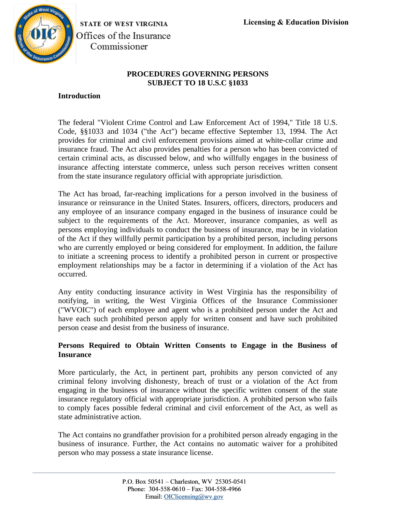

STATE OF WEST VIRGINIA Offices of the Insurance Commissioner

# **PROCEDURES GOVERNING PERSONS SUBJECT TO 18 U.S.C §1033**

## **Introduction**

The federal "Violent Crime Control and Law Enforcement Act of 1994," Title 18 U.S. Code, §§1033 and 1034 ("the Act") became effective September 13, 1994. The Act provides for criminal and civil enforcement provisions aimed at white-collar crime and insurance fraud. The Act also provides penalties for a person who has been convicted of certain criminal acts, as discussed below, and who willfully engages in the business of insurance affecting interstate commerce, unless such person receives written consent from the state insurance regulatory official with appropriate jurisdiction.

The Act has broad, far-reaching implications for a person involved in the business of insurance or reinsurance in the United States. Insurers, officers, directors, producers and any employee of an insurance company engaged in the business of insurance could be subject to the requirements of the Act. Moreover, insurance companies, as well as persons employing individuals to conduct the business of insurance, may be in violation of the Act if they willfully permit participation by a prohibited person, including persons who are currently employed or being considered for employment. In addition, the failure to initiate a screening process to identify a prohibited person in current or prospective employment relationships may be a factor in determining if a violation of the Act has occurred.

Any entity conducting insurance activity in West Virginia has the responsibility of notifying, in writing, the West Virginia Offices of the Insurance Commissioner ("WVOIC") of each employee and agent who is a prohibited person under the Act and have each such prohibited person apply for written consent and have such prohibited person cease and desist from the business of insurance.

# **Persons Required to Obtain Written Consents to Engage in the Business of Insurance**

More particularly, the Act, in pertinent part, prohibits any person convicted of any criminal felony involving dishonesty, breach of trust or a violation of the Act from engaging in the business of insurance without the specific written consent of the state insurance regulatory official with appropriate jurisdiction. A prohibited person who fails to comply faces possible federal criminal and civil enforcement of the Act, as well as state administrative action.

The Act contains no grandfather provision for a prohibited person already engaging in the business of insurance. Further, the Act contains no automatic waiver for a prohibited person who may possess a state insurance license.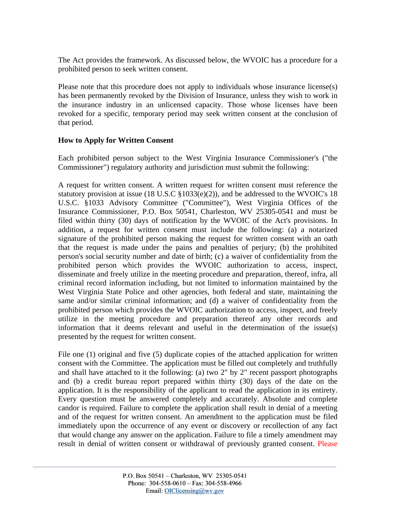The Act provides the framework. As discussed below, the WVOIC has a procedure for a prohibited person to seek written consent.

Please note that this procedure does not apply to individuals whose insurance license(s) has been permanently revoked by the Division of Insurance, unless they wish to work in the insurance industry in an unlicensed capacity. Those whose licenses have been revoked for a specific, temporary period may seek written consent at the conclusion of that period.

# **How to Apply for Written Consent**

Each prohibited person subject to the West Virginia Insurance Commissioner's ("the Commissioner") regulatory authority and jurisdiction must submit the following:

A request for written consent. A written request for written consent must reference the statutory provision at issue (18 U.S.C §1033(e)(2)), and be addressed to the WVOIC's 18 U.S.C. §1033 Advisory Committee ("Committee"), West Virginia Offices of the Insurance Commissioner, P.O. Box 50541, Charleston, WV 25305-0541 and must be filed within thirty (30) days of notification by the WVOIC of the Act's provisions. In addition, a request for written consent must include the following: (a) a notarized signature of the prohibited person making the request for written consent with an oath that the request is made under the pains and penalties of perjury; (b) the prohibited person's social security number and date of birth; (c) a waiver of confidentiality from the prohibited person which provides the WVOIC authorization to access, inspect, disseminate and freely utilize in the meeting procedure and preparation, thereof, infra, all criminal record information including, but not limited to information maintained by the West Virginia State Police and other agencies, both federal and state, maintaining the same and/or similar criminal information; and (d) a waiver of confidentiality from the prohibited person which provides the WVOIC authorization to access, inspect, and freely utilize in the meeting procedure and preparation thereof any other records and information that it deems relevant and useful in the determination of the issue(s) presented by the request for written consent.

File one (1) original and five (5) duplicate copies of the attached application for written consent with the Committee. The application must be filled out completely and truthfully and shall have attached to it the following: (a) two 2" by 2" recent passport photographs and (b) a credit bureau report prepared within thirty (30) days of the date on the application. It is the responsibility of the applicant to read the application in its entirety. Every question must be answered completely and accurately. Absolute and complete candor is required. Failure to complete the application shall result in denial of a meeting and of the request for written consent. An amendment to the application must be filed immediately upon the occurrence of any event or discovery or recollection of any fact that would change any answer on the application. Failure to file a timely amendment may result in denial of written consent or withdrawal of previously granted consent. Please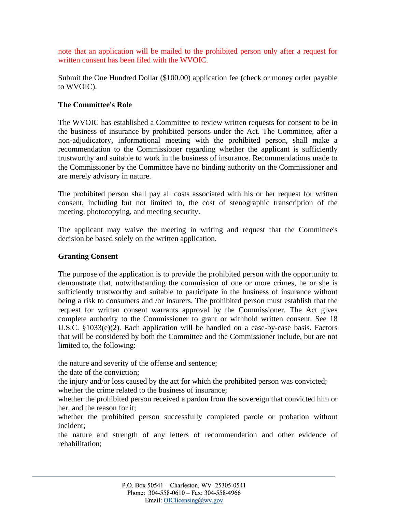note that an application will be mailed to the prohibited person only after a request for written consent has been filed with the WVOIC.

Submit the One Hundred Dollar (\$100.00) application fee (check or money order payable to WVOIC).

### **The Committee's Role**

The WVOIC has established a Committee to review written requests for consent to be in the business of insurance by prohibited persons under the Act. The Committee, after a non-adjudicatory, informational meeting with the prohibited person, shall make a recommendation to the Commissioner regarding whether the applicant is sufficiently trustworthy and suitable to work in the business of insurance. Recommendations made to the Commissioner by the Committee have no binding authority on the Commissioner and are merely advisory in nature.

The prohibited person shall pay all costs associated with his or her request for written consent, including but not limited to, the cost of stenographic transcription of the meeting, photocopying, and meeting security.

The applicant may waive the meeting in writing and request that the Committee's decision be based solely on the written application.

#### **Granting Consent**

The purpose of the application is to provide the prohibited person with the opportunity to demonstrate that, notwithstanding the commission of one or more crimes, he or she is sufficiently trustworthy and suitable to participate in the business of insurance without being a risk to consumers and /or insurers. The prohibited person must establish that the request for written consent warrants approval by the Commissioner. The Act gives complete authority to the Commissioner to grant or withhold written consent. See 18 U.S.C. §1033(e)(2). Each application will be handled on a case-by-case basis. Factors that will be considered by both the Committee and the Commissioner include, but are not limited to, the following:

the nature and severity of the offense and sentence;

the date of the conviction;

the injury and/or loss caused by the act for which the prohibited person was convicted; whether the crime related to the business of insurance;

whether the prohibited person received a pardon from the sovereign that convicted him or her, and the reason for it;

whether the prohibited person successfully completed parole or probation without incident;

the nature and strength of any letters of recommendation and other evidence of rehabilitation;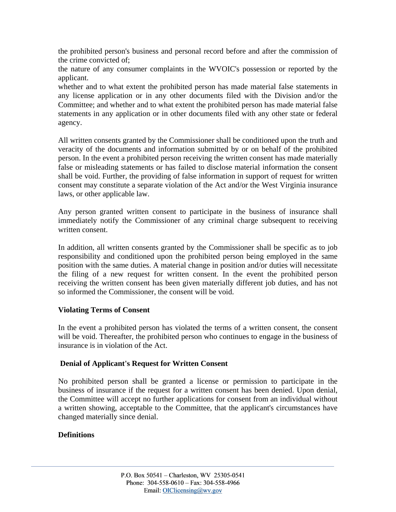the prohibited person's business and personal record before and after the commission of the crime convicted of;

the nature of any consumer complaints in the WVOIC's possession or reported by the applicant.

whether and to what extent the prohibited person has made material false statements in any license application or in any other documents filed with the Division and/or the Committee; and whether and to what extent the prohibited person has made material false statements in any application or in other documents filed with any other state or federal agency.

All written consents granted by the Commissioner shall be conditioned upon the truth and veracity of the documents and information submitted by or on behalf of the prohibited person. In the event a prohibited person receiving the written consent has made materially false or misleading statements or has failed to disclose material information the consent shall be void. Further, the providing of false information in support of request for written consent may constitute a separate violation of the Act and/or the West Virginia insurance laws, or other applicable law.

Any person granted written consent to participate in the business of insurance shall immediately notify the Commissioner of any criminal charge subsequent to receiving written consent.

In addition, all written consents granted by the Commissioner shall be specific as to job responsibility and conditioned upon the prohibited person being employed in the same position with the same duties. A material change in position and/or duties will necessitate the filing of a new request for written consent. In the event the prohibited person receiving the written consent has been given materially different job duties, and has not so informed the Commissioner, the consent will be void.

# **Violating Terms of Consent**

In the event a prohibited person has violated the terms of a written consent, the consent will be void. Thereafter, the prohibited person who continues to engage in the business of insurance is in violation of the Act.

#### **Denial of Applicant's Request for Written Consent**

No prohibited person shall be granted a license or permission to participate in the business of insurance if the request for a written consent has been denied. Upon denial, the Committee will accept no further applications for consent from an individual without a written showing, acceptable to the Committee, that the applicant's circumstances have changed materially since denial.

# **Definitions**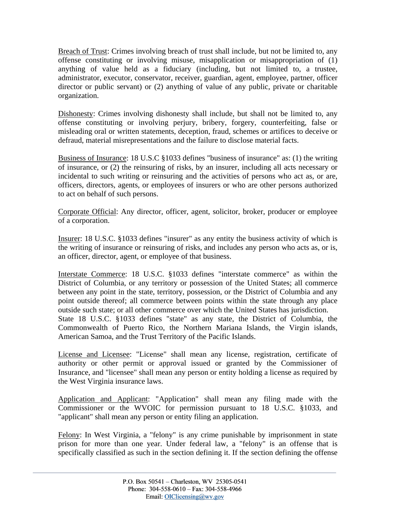Breach of Trust: Crimes involving breach of trust shall include, but not be limited to, any offense constituting or involving misuse, misapplication or misappropriation of (1) anything of value held as a fiduciary (including, but not limited to, a trustee, administrator, executor, conservator, receiver, guardian, agent, employee, partner, officer director or public servant) or (2) anything of value of any public, private or charitable organization.

Dishonesty: Crimes involving dishonesty shall include, but shall not be limited to, any offense constituting or involving perjury, bribery, forgery, counterfeiting, false or misleading oral or written statements, deception, fraud, schemes or artifices to deceive or defraud, material misrepresentations and the failure to disclose material facts.

Business of Insurance: 18 U.S.C §1033 defines "business of insurance" as: (1) the writing of insurance, or (2) the reinsuring of risks, by an insurer, including all acts necessary or incidental to such writing or reinsuring and the activities of persons who act as, or are, officers, directors, agents, or employees of insurers or who are other persons authorized to act on behalf of such persons.

Corporate Official: Any director, officer, agent, solicitor, broker, producer or employee of a corporation.

Insurer: 18 U.S.C. §1033 defines "insurer" as any entity the business activity of which is the writing of insurance or reinsuring of risks, and includes any person who acts as, or is, an officer, director, agent, or employee of that business.

Interstate Commerce: 18 U.S.C. §1033 defines "interstate commerce" as within the District of Columbia, or any territory or possession of the United States; all commerce between any point in the state, territory, possession, or the District of Columbia and any point outside thereof; all commerce between points within the state through any place outside such state; or all other commerce over which the United States has jurisdiction. State 18 U.S.C. §1033 defines "state" as any state, the District of Columbia, the Commonwealth of Puerto Rico, the Northern Mariana Islands, the Virgin islands, American Samoa, and the Trust Territory of the Pacific Islands.

License and Licensee: "License" shall mean any license, registration, certificate of authority or other permit or approval issued or granted by the Commissioner of Insurance, and "licensee" shall mean any person or entity holding a license as required by the West Virginia insurance laws.

Application and Applicant: "Application" shall mean any filing made with the Commissioner or the WVOIC for permission pursuant to 18 U.S.C. §1033, and "applicant" shall mean any person or entity filing an application.

Felony: In West Virginia, a "felony" is any crime punishable by imprisonment in state prison for more than one year. Under federal law, a "felony" is an offense that is specifically classified as such in the section defining it. If the section defining the offense